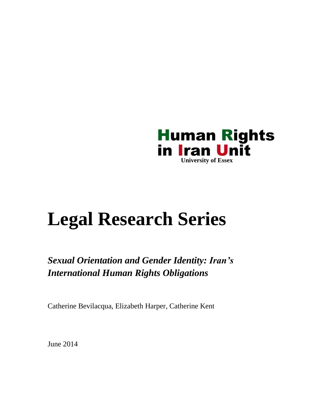

# **Legal Research Series**

*Sexual Orientation and Gender Identity: Iran's International Human Rights Obligations*

Catherine Bevilacqua, Elizabeth Harper, Catherine Kent

June 2014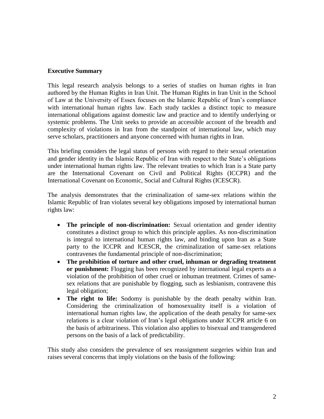#### **Executive Summary**

This legal research analysis belongs to a series of studies on human rights in Iran authored by the Human Rights in Iran Unit. The Human Rights in Iran Unit in the School of Law at the University of Essex focuses on the Islamic Republic of Iran's compliance with international human rights law. Each study tackles a distinct topic to measure international obligations against domestic law and practice and to identify underlying or systemic problems. The Unit seeks to provide an accessible account of the breadth and complexity of violations in Iran from the standpoint of international law, which may serve scholars, practitioners and anyone concerned with human rights in Iran.

This briefing considers the legal status of persons with regard to their sexual orientation and gender identity in the Islamic Republic of Iran with respect to the State's obligations under international human rights law. The relevant treaties to which Iran is a State party are the International Covenant on Civil and Political Rights (ICCPR) and the International Covenant on Economic, Social and Cultural Rights (ICESCR).

The analysis demonstrates that the criminalization of same-sex relations within the Islamic Republic of Iran violates several key obligations imposed by international human rights law:

- **The principle of non-discrimination:** Sexual orientation and gender identity constitutes a distinct group to which this principle applies. As non-discrimination is integral to international human rights law, and binding upon Iran as a State party to the ICCPR and ICESCR, the criminalization of same-sex relations contravenes the fundamental principle of non-discrimination;
- **The prohibition of torture and other cruel, inhuman or degrading treatment or punishment:** Flogging has been recognized by international legal experts as a violation of the prohibition of other cruel or inhuman treatment. Crimes of samesex relations that are punishable by flogging, such as lesbianism, contravene this legal obligation;
- **The right to life:** Sodomy is punishable by the death penalty within Iran. Considering the criminalization of homosexuality itself is a violation of international human rights law, the application of the death penalty for same-sex relations is a clear violation of Iran's legal obligations under ICCPR article 6 on the basis of arbitrariness. This violation also applies to bisexual and transgendered persons on the basis of a lack of predictability.

This study also considers the prevalence of sex reassignment surgeries within Iran and raises several concerns that imply violations on the basis of the following: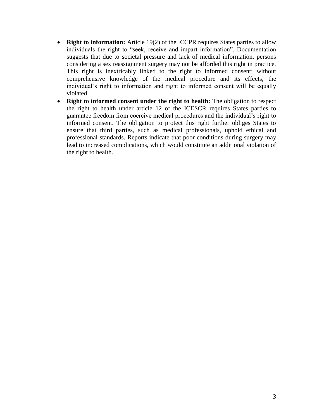- **Right to information:** Article 19(2) of the ICCPR requires States parties to allow individuals the right to "seek, receive and impart information". Documentation suggests that due to societal pressure and lack of medical information, persons considering a sex reassignment surgery may not be afforded this right in practice. This right is inextricably linked to the right to informed consent: without comprehensive knowledge of the medical procedure and its effects, the individual's right to information and right to informed consent will be equally violated.
- **Right to informed consent under the right to health:** The obligation to respect the right to health under article 12 of the ICESCR requires States parties to guarantee freedom from coercive medical procedures and the individual's right to informed consent. The obligation to protect this right further obliges States to ensure that third parties, such as medical professionals, uphold ethical and professional standards. Reports indicate that poor conditions during surgery may lead to increased complications, which would constitute an additional violation of the right to health.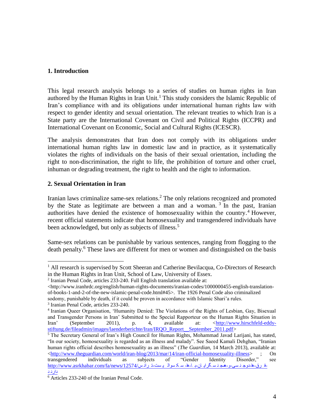## **1. Introduction**

This legal research analysis belongs to a series of studies on human rights in Iran authored by the Human Rights in Iran Unit.<sup>1</sup> This study considers the Islamic Republic of Iran's compliance with and its obligations under international human rights law with respect to gender identity and sexual orientation. The relevant treaties to which Iran is a State party are the International Covenant on Civil and Political Rights (ICCPR) and International Covenant on Economic, Social and Cultural Rights (ICESCR).

The analysis demonstrates that Iran does not comply with its obligations under international human rights law in domestic law and in practice, as it systematically violates the rights of individuals on the basis of their sexual orientation, including the right to non-discrimination, the right to life, the prohibition of torture and other cruel, inhuman or degrading treatment, the right to health and the right to information.

#### **2. Sexual Orientation in Iran**

Iranian laws criminalize same-sex relations. <sup>2</sup> The only relations recognized and promoted by the State as legitimate are between a man and a woman.<sup>3</sup> In the past, Iranian authorities have denied the existence of homosexuality within the country. <sup>4</sup> However, recent official statements indicate that homosexuality and transgendered individuals have been acknowledged, but only as subjects of illness.<sup>5</sup>

Same-sex relations can be punishable by various sentences, ranging from flogging to the death penalty.<sup>6</sup> These laws are different for men or women and distinguished on the basis

 $\overline{a}$ 

<sup>&</sup>lt;sup>1</sup> All research is supervised by Scott Sheeran and Catherine Bevilacqua, Co-Directors of Research in the Human Rights in Iran Unit, School of Law, University of Essex.

<sup>2</sup> Iranian Penal Code, articles 233-240. Full English translation available at:

 $\langle$ http://www.iranhrdc.org/english/human-rights-documents/iranian-codes/1000000455-english-translation[of-books-1-and-2-of-the-new-islamic-penal-code.html#45>](http://www.iranhrdc.org/english/human-rights-documents/iranian-codes/1000000455-english-translation-of-books-1-and-2-of-the-new-islamic-penal-code.html#45). The 1926 Penal Code also criminalized sodomy, punishable by death, if it could be proven in accordance with Islamic Shari'a rules.

<sup>3</sup> Iranian Penal Code, articles 233-240.

<sup>4</sup> Iranian Queer Organisation, 'Humanity Denied: The Violations of the Rights of Lesbian, Gay, Bisexual and Transgender Persons in Iran' Submitted to the Special Rapporteur on the Human Rights Situation in Iran' (September 2011), p. 4, available at: [<http://www.hirschfeld-eddy](http://www.hirschfeld-eddy-stiftung.de/fileadmin/images/laenderberichte/Iran/IRQO_Report__September_2011.pdf)[stiftung.de/fileadmin/images/laenderberichte/Iran/IRQO\\_Report\\_\\_September\\_2011.pdf>](http://www.hirschfeld-eddy-stiftung.de/fileadmin/images/laenderberichte/Iran/IRQO_Report__September_2011.pdf)

 $\frac{5}{3}$  The Secretary General of Iran's High Council for Human Rights, Mohammad Javad Larijani, has stated, "In our society, homosexuality is regarded as an illness and malady". See Saeed Kamali Dehghan, "Iranian human rights official describes homosexuality as an illness" (*The Guardian,* 14 March 2013), available at: [<http://www.theguardian.com/world/iran-blog/2013/mar/14/iran-official-homosexuality-illness>](http://www.theguardian.com/world/iran-blog/2013/mar/14/iran-official-homosexuality-illness) ; On transgendered individuals as subjects of "Gender Identity Disorder," see [دارن](http://www.asrkhabar.com/fa/news/12574/ترانس-سکسوالیست-ها-با-همجنسگرایان-و-دوجنسی-ها-فرق-دارند) <sup>د</sup>-ف رق-ها-دوج ن سی-و-همج ن س گرای ان-ب ا-ها- س ک سوال ی ست-ت ران س[/12574/news/fa/com.asrkhabar.www://http](http://www.asrkhabar.com/fa/news/12574/ترانس-سکسوالیست-ها-با-همجنسگرایان-و-دوجنسی-ها-فرق-دارند)

<sup>6</sup> Articles 233-240 of the Iranian Penal Code.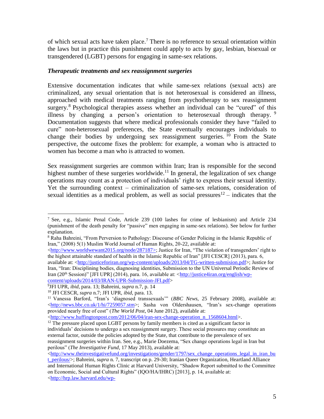of which sexual acts have taken place. <sup>7</sup> There is no reference to sexual orientation within the laws but in practice this punishment could apply to acts by gay, lesbian, bisexual or transgendered (LGBT) persons for engaging in same-sex relations.

#### *Therapeutic treatments and sex reassignment surgeries*

Extensive documentation indicates that while same-sex relations (sexual acts) are criminalized, any sexual orientation that is not heterosexual is considered an illness, approached with medical treatments ranging from psychotherapy to sex reassignment surgery.<sup>8</sup> Psychological therapies assess whether an individual can be "cured" of this illness by changing a person's orientation to heterosexual through therapy.<sup>9</sup> Documentation suggests that where medical professionals consider they have "failed to cure" non-heterosexual preferences, the State eventually encourages individuals to change their bodies by undergoing sex reassignment surgeries. <sup>10</sup> From the State perspective, the outcome fixes the problem: for example, a woman who is attracted to women has become a man who is attracted to women.

Sex reassignment surgeries are common within Iran; Iran is responsible for the second highest number of these surgeries worldwide.<sup>11</sup> In general, the legalization of sex change operations may count as a protection of individuals' right to express their sexual identity. Yet the surrounding context – criminalization of same-sex relations, consideration of sexual identities as a medical problem, as well as social pressures  $12$  – indicates that the

 $\langle$ http://www.worldwewant2015.org/node/287187>; Justice for Iran, "The violation of transgenders' right to the highest attainable standard of health in the Islamic Republic of Iran" [JFI CESCR] (2013), para. 6,

9 JFI UPR, *ibid*, para. 13; Bahreini, *supra* n.7, p. 14

 $\langle$ http://www.huffingtonpost.com/2012/06/04/iran-sex-change-operation\_n\_1568604.html>.

 $\lt$ http://www.theinvestigativefund.org/investigations/gender/1797/sex\_change\_operations\_legal\_in\_iran\_bu

l <sup>7</sup> See, e.g., Islamic Penal Code, Article 239 (100 lashes for crime of lesbianism) and Article 234 (punishment of the death penalty for "passive" men engaging in same-sex relations). See below for further explanation.

<sup>8</sup> Raha Bahreini, "From Perversion to Pathology: Discourse of Gender Policing in the Islamic Republic of Iran," (2008) 5(1) Muslim World Journal of Human Rights, 20-22, available at:

available at: [<http://justiceforiran.org/wp-content/uploads/2013/04/TG-written-submision.pdf>](http://justiceforiran.org/wp-content/uploads/2013/04/TG-written-submision.pdf); Justice for Iran, "Iran: Disciplining bodies, diagnosing identities, Submission to the UN Universal Periodic Review of Iran (20th Session)" [JFI UPR] (2014), para. 16, available at: [<http://justice4iran.org/english/wp](http://justice4iran.org/english/wp-content/uploads/2014/03/IRAN-UPR-Submission-JFI.pdf)[content/uploads/2014/03/IRAN-UPR-Submission-JFI.pdf>](http://justice4iran.org/english/wp-content/uploads/2014/03/IRAN-UPR-Submission-JFI.pdf)

<sup>10</sup> JFI CESCR, *supra* n.7; JFI UPR, *ibid*, para. 13.

<sup>11</sup> Vanessa Barford, "Iran's 'diagnosed transsexuals'" (*BBC News*, 25 February 2008), available at: [<http://news.bbc.co.uk/1/hi/7259057.stm>](http://news.bbc.co.uk/1/hi/7259057.stm); Sasha von Oldershausen, "Iran's sex-change operations provided nearly free of cost" (*The World Post*, 04 June 2012), available at:

 $12$  The pressure placed upon LGBT persons by family members is cited as a significant factor in individuals' decisions to undergo a sex reassignment surgery. These social pressures may constitute an external factor, outside the policies adopted by the State, that contribute to the prevalence of sex reassignment surgeries within Iran. See, e.g., Marie Doezema, "Sex change operations legal in Iran but perilous" (*The Investigative Fund,* 17 May 2013), available at:

[t\\_perilous/>](http://www.theinvestigativefund.org/investigations/gender/1797/sex_change_operations_legal_in_iran_but_perilous/); Bahreini, *supra* n. 7, transcript on p. 29-30; Iranian Queer Organization, Heartland Alliance and International Human Rights Clinic at Harvard University, "Shadow Report submitted to the Committee on Economic, Social and Cultural Rights" (IQO/HA/IHRC) [2013], p. 14, available at: [<http://hrp.law.harvard.edu/wp-](http://hrp.law.harvard.edu/wp-content/uploads/2011/01/JointHeartlandAlliance_IRQO_IHRC_Iran_CESCR50.pdf)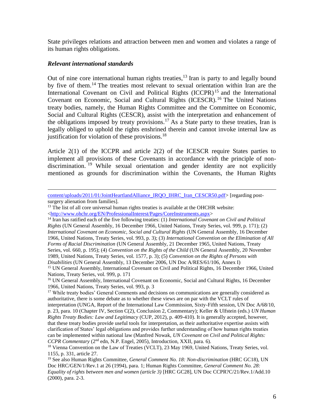State privileges relations and attraction between men and women and violates a range of its human rights obligations.

#### *Relevant international standards*

 $\overline{a}$ 

Out of nine core international human rights treaties,<sup>13</sup> Iran is party to and legally bound by five of them.<sup>14</sup> The treaties most relevant to sexual orientation within Iran are the International Covenant on Civil and Political Rights (ICCPR)<sup>15</sup> and the International Covenant on Economic, Social and Cultural Rights (ICESCR).<sup>16</sup> The United Nations treaty bodies, namely, the Human Rights Committee and the Committee on Economic, Social and Cultural Rights (CESCR), assist with the interpretation and enhancement of the obligations imposed by treaty provisions.<sup>17</sup> As a State party to these treaties, Iran is legally obliged to uphold the rights enshrined therein and cannot invoke internal law as justification for violation of these provisions. $^{18}$ 

Article 2(1) of the ICCPR and article 2(2) of the ICESCR require States parties to implement all provisions of these Covenants in accordance with the principle of nondiscrimination. <sup>19</sup> While sexual orientation and gender identity are not explicitly mentioned as grounds for discrimination within the Covenants, the Human Rights

[content/uploads/2011/01/JointHeartlandAlliance\\_IRQO\\_IHRC\\_Iran\\_CESCR50.pdf>](http://hrp.law.harvard.edu/wp-content/uploads/2011/01/JointHeartlandAlliance_IRQO_IHRC_Iran_CESCR50.pdf) [regarding postsurgery alienation from families].

 $13$  The list of all core universal human rights treaties is available at the OHCHR website: [<http://www.ohchr.org/EN/ProfessionalInterest/Pages/CoreInstruments.aspx>](http://www.ohchr.org/EN/ProfessionalInterest/Pages/CoreInstruments.aspx)

<sup>14</sup> Iran has ratified each of the five following treaties: (1) *International Covenant on Civil and Political Rights* (UN General Assembly, 16 December 1966, United Nations, Treaty Series, vol. 999, p. 171); (2) *International Covenant on Economic, Social and Cultural Rights* (UN General Assembly, 16 December 1966, United Nations, Treaty Series, vol. 993, p. 3); (3) *International Convention on the Elimination of All Forms of Racial Discrimination* (UN General Assembly, 21 December 1965, United Nations, Treaty Series, vol. 660, p. 195); (4) *Convention on the Rights of the Child* (UN General Assembly, 20 November 1989, United Nations, Treaty Series, vol. 1577, p. 3); (5) *Convention on the Rights of Persons with Disabilities* (UN General Assembly, 13 December 2006, UN Doc A/RES/61/106, Annex I)

<sup>15</sup> UN General Assembly, International Covenant on Civil and Political Rights, 16 December 1966, United Nations, Treaty Series, vol. 999, p. 171

<sup>&</sup>lt;sup>16</sup> UN General Assembly, International Covenant on Economic, Social and Cultural Rights, 16 December 1966, United Nations, Treaty Series, vol. 993, p. 3

<sup>&</sup>lt;sup>17</sup> While treaty bodies' General Comments and decisions on communications are generally considered as authoritative, there is some debate as to whether these views are on par with the VCLT rules of interpretation (UNGA, Report of the International Law Commission, Sixty-Fifth session, UN Doc A/68/10, p. 23, para. 10 (Chapter IV, Section C(2), Conclusion 2, Commentary); Keller & Ulfstein (eds.) *UN Human Rights Treaty Bodies: Law and Legitimacy* (CUP, 2012), p. 409-410). It is generally accepted, however, that these treaty bodies provide useful tools for interpretation, as their authoritative expertise assists with clarification of States' legal obligations and provides further understanding of how human rights treaties can be implemented within national law (Manfred Nowak, *UN Covenant on Civil and Political Rights: CCPR Commentary* (2nd edn, N.P. Engel, 2005), Introduction, XXII, para. 6).

<sup>&</sup>lt;sup>18</sup> Vienna Convention on the Law of Treaties (VCLT), 23 May 1969, United Nations, Treaty Series, vol. 1155, p. 331, article 27.

<sup>19</sup> See also Human Rights Committee, *General Comment No. 18: Non-discrimination* (HRC GC18), UN Doc HRC/GEN/1/Rev.1 at 26 (1994), para. 1; Human Rights Committee, *General Comment No. 28: Equality of rights between men and women (article 3)* [HRC GC28], UN Doc CCPR?C/21/Rev.1/Add.10 (2000), para. 2-3.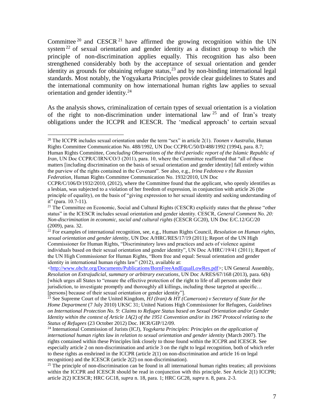Committee  $20$  and CESCR  $21$  have affirmed the growing recognition within the UN system<sup>22</sup> of sexual orientation and gender identity as a distinct group to which the principle of non-discrimination applies equally. This recognition has also been strengthened considerably both by the acceptance of sexual orientation and gender identity as grounds for obtaining refugee status,  $2<sup>3</sup>$  and by non-binding international legal standards. Most notably, the Yogyakarta Principles provide clear guidelines to States and the international community on how international human rights law applies to sexual orientation and gender identity.<sup>24</sup>

As the analysis shows, criminalization of certain types of sexual orientation is a violation of the right to non-discrimination under international law  $25$  and of Iran's treaty obligations under the ICCPR and ICESCR. The 'medical approach' to certain sexual

 $\overline{a}$ 

<sup>20</sup> The ICCPR includes sexual orientation under the term "sex" in article 2(1). *Toonen v Australia*, Human Rights Committee Communication No. 488/1992, UN Doc CCPR/C/50/D/488/1992 (1994), para. 8.7; Human Rights Committee, *Concluding Observations of the third periodic report of the Islamic Republic of Iran*, UN Doc CCPR/C/IRN/CO/3 (2011), para. 10, where the Committee reaffirmed that "all of these matters [including discrimination on the basis of sexual orientation and gender identity] fall entirely within the purview of the rights contained in the Covenant". See also, e.g., *Irina Fedotova v the Russian Federation,* Human Rights Committee Communication No. 1932/2010, UN Doc

CCPR/C/106/D/1932/2010, (2012), where the Committee found that the applicant, who openly identifies as a lesbian, was subjected to a violation of her freedom of expression, in conjunction with article 26 (the principle of equality), on the basis of "giving expression to her sexual identity and seeking understanding of it" (para. 10.7-11).

<sup>&</sup>lt;sup>21</sup> The Committee on Economic, Social and Cultural Rights (CESCR) explicitly states that the phrase "other status" in the ICESCR includes sexual orientation and gender identity. CESCR, *General Comment No. 20: Non-discrimination in economic, social and cultural rights* (CESCR GC20), UN Doc E/C.12/GC/20 (2009), para. 32.

<sup>&</sup>lt;sup>22</sup> For examples of international recognition, see, e.g., Human Rights Council, *Resolution on Human rights*, *sexual orientation and gender identity*, UN Doc A/HRC/RES/17/19 (2011); Report of the UN High Commissioner for Human Rights, "Discriminatory laws and practices and acts of violence against individuals based on their sexual orientation and gender identity", UN Doc A/HRC/19/41 (2011); Report of the UN High Commissioner for Human Rights, "Born free and equal: Sexual orientation and gender identity in international human rights law" (2012), available at:

[<sup>&</sup>lt;http://www.ohchr.org/Documents/Publications/BornFreeAndEqualLowRes.pdf>](http://www.ohchr.org/Documents/Publications/BornFreeAndEqualLowRes.pdf); UN General Assembly, *Resolution on Extrajudicial, summary or arbitrary executions*, UN Doc A/RES/67/168 (2013), para. 6(b) [which urges all States to "ensure the effective protection of the right to life of all persons under their jurisdiction, to investigate promptly and thoroughly all killings, including those targeted at specific… [persons] because of their sexual orientation or gender identity"].

<sup>&</sup>lt;sup>23</sup> See Supreme Court of the United Kingdom, *HJ (Iran) & HT (Cameroon) v Secretary of State for the Home Department* (7 July 2010) UKSC 31; United Nations High Commissioner for Refugees, *Guidelines on International Protection No. 9: Claims to Refugee Status based on Sexual Orientation and/or Gender Identity within the context of Article 1A(2) of the 1951 Convention and/or its 1967 Protocol relating to the Status of Refugees* (23 October 2012) Doc. HCR/GIP/12/09.

<sup>24</sup> International Commission of Jurists (ICJ), *Yogykarta Principles: Principles on the application of international human rights law in relation to sexual orientation and gender identity* (March 2007). The rights contained within these Principles link closely to those found within the ICCPR and ICESCR. See especially article 2 on non-discrimination and article 3 on the right to legal recognition, both of which refer to these rights as enshrined in the ICCPR (article 2(1) on non-discrimination and article 16 on legal recognition) and the ICESCR (article 2(2) on non-discrimination).

 $^{25}$  The principle of non-discrimination can be found in all international human rights treaties; all provisions within the ICCPR and ICESCR should be read in conjunction with this principle. See Article 2(1) ICCPR; article 2(2) ICESCR; HRC GC18, *supra* n. 18, para. 1; HRC GC28, *supra* n. 8, para. 2-3.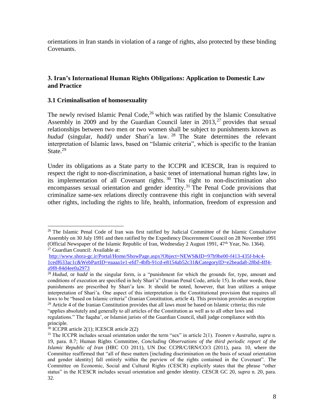orientations in Iran stands in violation of a range of rights, also protected by these binding Covenants.

#### **3. Iran's International Human Rights Obligations: Application to Domestic Law and Practice**

#### **3.1 Criminalisation of homosexuality**

The newly revised Islamic Penal Code, $26$  which was ratified by the Islamic Consultative Assembly in 2009 and by the Guardian Council later in  $2013$ ,  $27$  provides that sexual relationships between two men or two women shall be subject to punishments known as *hudud* (singular, *hadd)* under Shari'a law. <sup>28</sup> The State determines the relevant interpretation of Islamic laws, based on "Islamic criteria", which is specific to the Iranian State. $^{29}$ 

Under its obligations as a State party to the ICCPR and ICESCR, Iran is required to respect the right to non-discrimination, a basic tenet of international human rights law, in its implementation of all Covenant rights. <sup>30</sup> This right to non-discrimination also encompasses sexual orientation and gender identity.<sup>31</sup> The Penal Code provisions that criminalize same-sex relations directly contravene this right in conjunction with several other rights, including the rights to life, health, information, freedom of expression and

 $\overline{\phantom{a}}$ <sup>26</sup> The Islamic Penal Code of Iran was first ratified by Judicial Committee of the Islamic Consultative Assembly on 30 July 1991 and then ratified by the Expediency Discernment Council on 28 November 1991 (Official Newspaper of the Islamic Republic of Iran, Wednesday 2 August 1991, 47th Year, No. 1364). <sup>27</sup> Guardian Council: Available at:

[http://www.shora-gc.ir/Portal/Home/ShowPage.aspx?Object=NEWS&ID=97b9be00-f413-435f-b4c4-](http://www.shora-gc.ir/Portal/Home/ShowPage.aspx?Object=NEWS&ID=97b9be00-f413-435f-b4c4-1cedf633ac1c&WebPartID=eaaaa1e1-efd7-4bfb-91cd-e8154ab52c31&CategoryID=e2beada8-28bd-4ff4-a9f8-84d4ee0a2973) [1cedf633ac1c&WebPartID=eaaaa1e1-efd7-4bfb-91cd-e8154ab52c31&CategoryID=e2beada8-28bd-4ff4](http://www.shora-gc.ir/Portal/Home/ShowPage.aspx?Object=NEWS&ID=97b9be00-f413-435f-b4c4-1cedf633ac1c&WebPartID=eaaaa1e1-efd7-4bfb-91cd-e8154ab52c31&CategoryID=e2beada8-28bd-4ff4-a9f8-84d4ee0a2973) [a9f8-84d4ee0a2973](http://www.shora-gc.ir/Portal/Home/ShowPage.aspx?Object=NEWS&ID=97b9be00-f413-435f-b4c4-1cedf633ac1c&WebPartID=eaaaa1e1-efd7-4bfb-91cd-e8154ab52c31&CategoryID=e2beada8-28bd-4ff4-a9f8-84d4ee0a2973)

<sup>&</sup>lt;sup>28</sup> *Hudud*, or *hadd* in the singular form, is a "punishment for which the grounds for, type, amount and conditions of execution are specified in holy Shari'a" (Iranian Penal Code, article 15). In other words, these punishments are prescribed by Shari'a law. It should be noted, however, that Iran utilizes a unique interpretation of Shari'a. One aspect of this interpretation is the Constitutional provision that requires all laws to be "based on Islamic criteria" (Iranian Constitution, article 4). This provision provides an exception  $29$  Article 4 of the Iranian Constitution provides that all laws must be based on Islamic criteria; this rule "applies absolutely and generally to all articles of the Constitution as well as to all other laws and regulations." The fuqaha', or Islamist jurists of the Guardian Council, shall judge compliance with this

principle.

<sup>&</sup>lt;sup>30</sup> ICCPR article 2(1); ICESCR article 2(2)

<sup>31</sup> The ICCPR includes sexual orientation under the term "sex" in article 2(1). *Toonen v Australia*, *supra* n. 19, para. 8.7; Human Rights Committee, *Concluding Observations of the third periodic report of the Islamic Republic of Iran* (HRC CO 2011), UN Doc CCPR/C/IRN/CO/3 (2011), para. 10, where the Committee reaffirmed that "all of these matters [including discrimination on the basis of sexual orientation and gender identity] fall entirely within the purview of the rights contained in the Covenant". The Committee on Economic, Social and Cultural Rights (CESCR) explicitly states that the phrase "other status" in the ICESCR includes sexual orientation and gender identity. CESCR GC 20, *supra* n. 20, para. 32.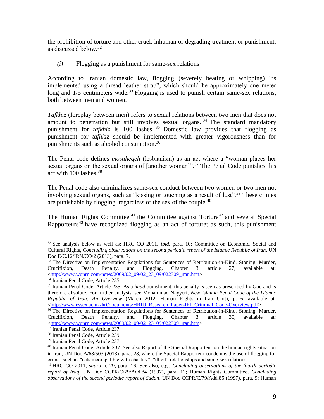the prohibition of torture and other cruel, inhuman or degrading treatment or punishment, as discussed below.<sup>32</sup>

*(i)* Flogging as a punishment for same-sex relations

According to Iranian domestic law, flogging (severely beating or whipping) "is implemented using a thread leather strap", which should be approximately one meter long and  $1/5$  centimeters wide.<sup>33</sup> Flogging is used to punish certain same-sex relations, both between men and women.

*Tafkhiz* (foreplay between men) refers to sexual relations between two men that does not amount to penetration but still involves sexual organs.<sup>34</sup> The standard mandatory punishment for *tafkhiz* is 100 lashes. <sup>35</sup> Domestic law provides that flogging as punishment for *tafhkiz* should be implemented with greater vigorousness than for punishments such as alcohol consumption.<sup>36</sup>

The Penal code defines *mosaheqeh* (lesbianism) as an act where a "woman places her sexual organs on the sexual organs of  $[$ another woman $]$ ".<sup>37</sup> The Penal Code punishes this act with 100 lashes.<sup>38</sup>

The Penal code also criminalizes same-sex conduct between two women or two men not involving sexual organs, such as "kissing or touching as a result of lust".<sup>39</sup> These crimes are punishable by flogging, regardless of the sex of the couple.<sup>40</sup>

The Human Rights Committee,<sup>41</sup> the Committee against Torture<sup>42</sup> and several Special Rapporteurs<sup>43</sup> have recognized flogging as an act of torture; as such, this punishment

l <sup>32</sup> See analysis below as well as: HRC CO 2011, *ibid*, para. 10; Committee on Economic, Social and Cultural Rights, *Concluding observations on the second periodic report of the Islamic Republic of Iran,* UN Doc E/C.12/IRN/CO/2 (2013), para. 7.

<sup>&</sup>lt;sup>33</sup> The Directive on Implementation Regulations for Sentences of Retribution-in-Kind, Stoning, Murder, Crucifixion, Death Penalty, and Flogging, Chapter 3, article 27, available at: [<http://www.wunrn.com/news/2009/02\\_09/02\\_23\\_09/022309\\_iran.htm>](http://www.wunrn.com/news/2009/02_09/02_23_09/022309_iran.htm)

<sup>&</sup>lt;sup>34</sup> Iranian Penal Code, Article 235.

<sup>35</sup> Iranian Penal Code, Article 235. As a *hadd* punishment, this penalty is seen as prescribed by God and is therefore absolute. For further analysis, see Mohammad Nayyeri, *New Islamic Penal Code of the Islamic Republic of Iran: An Overview* (March 2012, Human Rights in Iran Unit), p. 6, available at: [<http://www.essex.ac.uk/hri/documents/HRIU\\_Research\\_Paper-IRI\\_Criminal\\_Code-Overview.pdf>](http://www.essex.ac.uk/hri/documents/HRIU_Research_Paper-IRI_Criminal_Code-Overview.pdf)

<sup>&</sup>lt;sup>36</sup> The Directive on Implementation Regulations for Sentences of Retribution-in-Kind, Stoning, Murder, Crucifixion, Death Penalty, and Flogging, Chapter 3, article 30, available at: [<http://www.wunrn.com/news/2009/02\\_09/02\\_23\\_09/022309\\_iran.htm>](http://www.wunrn.com/news/2009/02_09/02_23_09/022309_iran.htm)

<sup>37</sup> Iranian Penal Code, Article 237.

<sup>38</sup> Iranian Penal Code, Article 239.

<sup>39</sup> Iranian Penal Code, Article 237.

<sup>&</sup>lt;sup>40</sup> Iranian Penal Code, Article 237. See also Report of the Special Rapporteur on the human rights situation in Iran, UN Doc A/68/503 (2013), para. 28, where the Special Rapporteur condemns the use of flogging for crimes such as "acts incompatible with chastity", "illicit" relationships and same-sex relations.

<sup>41</sup> HRC CO 2011, *supra* n. 29, para. 16. See also, e.g., *Concluding observations of the fourth periodic report of Iraq,* UN Doc CCPR/C/79/Add.84 (1997), para. 12; Human Rights Committee, *Concluding observations of the second periodic report of Sudan*, UN Doc CCPR/C/79/Add.85 (1997), para. 9; Human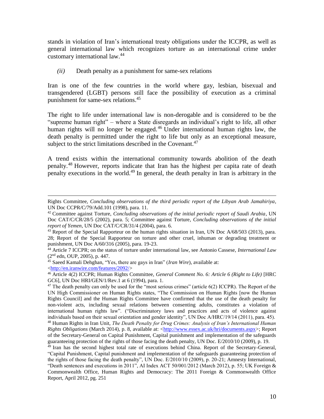stands in violation of Iran's international treaty obligations under the ICCPR, as well as general international law which recognizes torture as an international crime under customary international law. 44

*(ii)* Death penalty as a punishment for same-sex relations

Iran is one of the few countries in the world where gay, lesbian, bisexual and transgendered (LGBT) persons still face the possibility of execution as a criminal punishment for same-sex relations.<sup>45</sup>

The right to life under international law is non-derogable and is considered to be the "supreme human right" – where a State disregards an individual's right to life, all other human rights will no longer be engaged.<sup>46</sup> Under international human rights law, the death penalty is permitted under the right to life but only as an exceptional measure, subject to the strict limitations described in the Covenant.<sup>47</sup>

A trend exists within the international community towards abolition of the death penalty.<sup>48</sup> However, reports indicate that Iran has the highest per capita rate of death penalty executions in the world.<sup>49</sup> In general, the death penalty in Iran is arbitrary in the

 $\overline{\phantom{a}}$ Rights Committee, *Concluding observations of the third periodic report of the Libyan Arab Jamahiriya*, UN Doc CCPR/C/79/Add.101 (1998), para. 11.

<sup>42</sup> Committee against Torture, *Concluding observations of the initial periodic report of Saudi Arabia*, UN Doc CAT/C/CR/28/5 (2002), para. 5; Committee against Torture, *Concluding observations of the initial report of Yemen*, UN Doc CAT/C/CR/31/4 (2004), para. 6.

<sup>&</sup>lt;sup>43</sup> Report of the Special Rapporteur on the human rights situation in Iran, UN Doc A/68/503 (2013), para. 28; Report of the Special Rapporteur on torture and other cruel, inhuman or degrading treatment or punishment, UN Doc A/60/316 (2005), para. 19-23.

<sup>44</sup> Article 7 ICCPR; on the status of torture under international law, see Antonio Cassese, *International Law* (2nd edn, OUP, 2005), p. 447.

<sup>45</sup> Saeed Kamali Dehghan, "Yes, there are gays in Iran" (*Iran Wire*), available at: [<http://en.iranwire.com/features/2092/>](http://en.iranwire.com/features/2092/)

<sup>46</sup> Article 4(2) ICCPR; Human Rights Committee, *General Comment No. 6: Article 6 (Right to Life)* [HRC GC6], UN Doc HRI/GEN/1/Rev.1 at 6 (1994), para. 1.

<sup>&</sup>lt;sup>47</sup> The death penalty can only be used for the "most serious crimes" (article  $6(2)$  ICCPR). The Report of the UN High Commissioner on Human Rights states, "The Commission on Human Rights [now the Human Rights Council] and the Human Rights Committee have confirmed that the use of the death penalty for non-violent acts, including sexual relations between consenting adults, constitutes a violation of international human rights law". ("Discriminatory laws and practices and acts of violence against individuals based on their sexual orientation and gender identity", UN Doc A/HRC/19/14 (2011), para. 45). <sup>48</sup> Human Rights in Iran Unit, *The Death Penalty for Drug Crimes: Analysis of Iran's International Human Rights Obligations* (March 2014), p. 8, available at: [<http://www.essex.ac.uk/hri/documents.aspx>](http://www.essex.ac.uk/hri/documents.aspx); Report of the Secretary-General on Capital Punishment, Capital punishment and implementation of the safeguards guaranteeing protection of the rights of those facing the death penalty, UN Doc. E/2010/10 (2009), p. 19.

<sup>&</sup>lt;sup>49</sup> Iran has the second highest total rate of executions behind China. Report of the Secretary-General, "Capital Punishment, Capital punishment and implementation of the safeguards guaranteeing protection of the rights of those facing the death penalty", UN Doc. E/2010/10 (2009), p. 20-21; Amnesty International, "Death sentences and executions in 2011", AI Index ACT 50/001/2012 (March 2012), p. 55; UK Foreign & Commonwealth Office, Human Rights and Democracy: The 2011 Foreign & Commonwealth Office Report, April 2012, pg. 251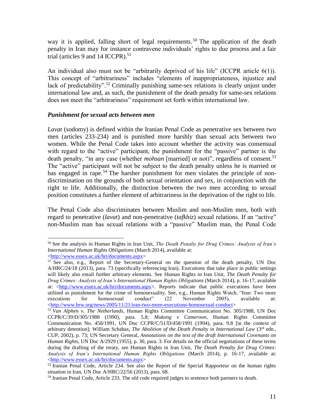way it is applied, falling short of legal requirements.<sup>50</sup> The application of the death penalty in Iran may for instance contravene individuals' rights to due process and a fair trial (articles 9 and 14 ICCPR). 51

An individual also must not be "arbitrarily deprived of his life" (ICCPR article 6(1)). This concept of "arbitrariness" includes "elements of inappropriateness, injustice and lack of predictability".<sup>52</sup> Criminally punishing same-sex relations is clearly unjust under international law and, as such, the punishment of the death penalty for same-sex relations does not meet the "arbitrariness" requirement set forth within international law.

#### *Punishment for sexual acts between men*

*Lavat* (sodomy) is defined within the Iranian Penal Code as penetrative sex between two men (articles 233-234) and is punished more harshly than sexual acts between two women. While the Penal Code takes into account whether the activity was consensual with regard to the "active" participant, the punishment for the "passive" partner is the death penalty, "in any case (whether *mohsan* [married] or not)", regardless of consent.<sup>53</sup> The "active" participant will not be subject to the death penalty unless he is married or has engaged in rape.<sup>54</sup> The harsher punishment for men violates the principle of nondiscrimination on the grounds of both sexual orientation and sex, in conjunction with the right to life. Additionally, the distinction between the two men according to sexual position constitutes a further element of arbitrariness in the deprivation of the right to life.

The Penal Code also discriminates between Muslim and non-Muslim men, both with regard to penetrative (*lavat*) and non-penetrative (*tafkhiz*) sexual relations. If an "active" non-Muslim man has sexual relations with a "passive" Muslim man, the Penal Code

l <sup>50</sup> See the analysis in Human Rights in Iran Unit, *The Death Penalty for Drug Crimes: Analysis of Iran's International Human Rights Obligations* (March 2014), available at: [<http://www.essex.ac.uk/hri/documents.aspx>](http://www.essex.ac.uk/hri/documents.aspx)

<sup>&</sup>lt;sup>51</sup> See also, e.g., Report of the Secretary-General on the question of the death penalty, UN Doc A/HRC/24/18 (2013), para. 73 (specifically referencing Iran). Executions that take place in public settings will likely also entail further arbitrary elements. See Human Rights in Iran Unit, *The Death Penalty for Drug Crimes: Analysis of Iran's International Human Rights Obligations* (March 2014), p. 16-17, available at: [<http://www.essex.ac.uk/hri/documents.aspx>](http://www.essex.ac.uk/hri/documents.aspx). Reports indicate that public executions have been utilised as punishment for the crime of homosexuality. See, e.g., Human Rights Watch, "Iran: Two more executions for homosexual conduct" (22 November 2005), available at: [<http://www.hrw.org/news/2005/11/21/iran-two-more-executions-homosexual-conduct>](http://www.hrw.org/news/2005/11/21/iran-two-more-executions-homosexual-conduct)

<sup>52</sup> *Van Alphen v. The Netherlands*, Human Rights Committee Communication No. 305/1988, UN Doc CCPR/C/39/D/305/1988 (1990), para. 5.8; *Mukong v Cameroon*, Human Rights Committee Communication No. 458/1991, UN Doc CCPR/C/51/D/458/1991 (1994), para. 9.8 [in the context of arbitrary detention]; William Schabas, *The Abolition of the Death Penalty in International Law* (3<sup>rd</sup> edn., CUP, 2002), p. 73; UN Secretary General, *Annotations on the text of the draft International Covenants on Human Rights*, UN Doc A/2929 (1955), p. 30, para. 3. For details on the official negotiations of these terms during the drafting of the treaty, see Human Rights in Iran Unit, *The Death Penalty for Drug Crimes: Analysis of Iran's International Human Rights Obligations* (March 2014), p. 16-17, available at: [<http://www.essex.ac.uk/hri/documents.aspx>](http://www.essex.ac.uk/hri/documents.aspx)

<sup>&</sup>lt;sup>53</sup> Iranian Penal Code, Article 234. See also the Report of the Special Rapporteur on the human rights situation in Iran, UN Doc A/HRC/22/56 (2013), para. 68.

<sup>&</sup>lt;sup>54</sup> Iranian Penal Code, Article 233. The old code required judges to sentence both partners to death.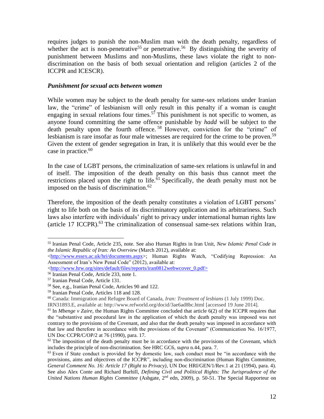requires judges to punish the non-Muslim man with the death penalty, regardless of whether the act is non-penetrative<sup>55</sup> or penetrative.<sup>56</sup> By distinguishing the severity of punishment between Muslims and non-Muslims, these laws violate the right to nondiscrimination on the basis of both sexual orientation and religion (articles 2 of the ICCPR and ICESCR).

#### *Punishment for sexual acts between women*

While women may be subject to the death penalty for same-sex relations under Iranian law, the "crime" of lesbianism will only result in this penalty if a woman is caught engaging in sexual relations four times.<sup>57</sup> This punishment is not specific to women, as anyone found committing the same offence punishable by *hadd* will be subject to the death penalty upon the fourth offence. <sup>58</sup> However, conviction for the "crime" of lesbianism is rare insofar as four male witnesses are required for the crime to be proven.<sup>59</sup> Given the extent of gender segregation in Iran, it is unlikely that this would ever be the case in practice. 60

In the case of LGBT persons, the criminalization of same-sex relations is unlawful in and of itself. The imposition of the death penalty on this basis thus cannot meet the restrictions placed upon the right to life. $\delta$ <sup>1</sup> Specifically, the death penalty must not be imposed on the basis of discrimination. $62$ 

Therefore, the imposition of the death penalty constitutes a violation of LGBT persons' right to life both on the basis of its discriminatory application and its arbitrariness. Such laws also interfere with individuals' right to privacy under international human rights law (article 17 ICCPR).<sup>63</sup> The criminalization of consensual same-sex relations within Iran,

l <sup>55</sup> Iranian Penal Code, Article 235, note. See also Human Rights in Iran Unit, *New Islamic Penal Code in the Islamic Republic of Iran: An Overview* (March 2012), available at:

[<sup>&</sup>lt;http://www.essex.ac.uk/hri/documents.aspx>](http://www.essex.ac.uk/hri/documents.aspx); Human Rights Watch, "Codifying Repression: An Assessment of Iran's New Penal Code" (2012), available at:

[<sup>&</sup>lt;http://www.hrw.org/sites/default/files/reports/iran0812webwcover\\_0.pdf>](http://www.hrw.org/sites/default/files/reports/iran0812webwcover_0.pdf)

<sup>56</sup> Iranian Penal Code, Article 233, note 1.

<sup>57</sup> Iranian Penal Code, Article 131.

<sup>58</sup> See, e.g., Iranian Penal Code, Articles 90 and 122.

<sup>59</sup> Iranian Penal Code, Articles 118 and 128.

<sup>60</sup> Canada: Immigration and Refugee Board of Canada, *Iran: Treatment of lesbians* (1 July 1999) Doc.

IRN31893.E, available at: http://www.refworld.org/docid/3ae6ad8bc.html [accessed 19 June 2014].

<sup>61</sup> In *Mbenge v Zaire*, the Human Rights Committee concluded that article 6(2) of the ICCPR requires that the "substantive and procedural law in the application of which the death penalty was imposed was not contrary to the provisions of the Covenant, and also that the death penalty was imposed in accordance with that law and therefore in accordance with the provisions of the Covenant" (Communication No. 16/1977, UN Doc CCPR/C/OP/2 at 76 (1990), para. 17.

 $62$  The imposition of the death penalty must be in accordance with the provisions of the Covenant, which includes the principle of non-discrimination. See HRC GC6, *supra* n.44, para. 7.

<sup>&</sup>lt;sup>63</sup> Even if State conduct is provided for by domestic law, such conduct must be "in accordance with the provisions, aims and objectives of the ICCPR", including non-discrimination (Human Rights Committee, *General Comment No. 16: Article 17 (Right to Privacy)*, UN Doc HRI/GEN/1/Rev.1 at 21 (1994), para. 4). See also Alex Conte and Richard Burhill, *Defining Civil and Political Rights: The Jurisprudence of the United Nations Human Rights Committee* (Ashgate, 2<sup>nd</sup> edn, 2009), p. 50-51. The Special Rapporteur on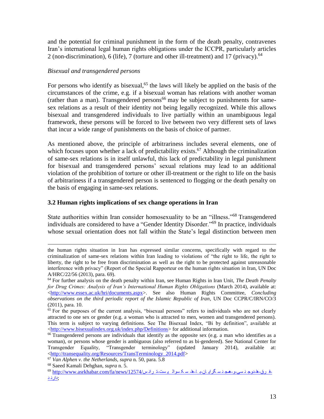and the potential for criminal punishment in the form of the death penalty, contravenes Iran's international legal human rights obligations under the ICCPR, particularly articles 2 (non-discrimination), 6 (life), 7 (torture and other ill-treatment) and 17 (privacy).<sup>64</sup>

#### *Bisexual and transgendered persons*

For persons who identify as bisexual,<sup>65</sup> the laws will likely be applied on the basis of the circumstances of the crime, e.g. if a bisexual woman has relations with another woman (rather than a man). Transgendered persons<sup>66</sup> may be subject to punishments for samesex relations as a result of their identity not being legally recognized. While this allows bisexual and transgendered individuals to live partially within an unambiguous legal framework, these persons will be forced to live between two very different sets of laws that incur a wide range of punishments on the basis of choice of partner.

As mentioned above, the principle of arbitrariness includes several elements, one of which focuses upon whether a lack of predictability exists.<sup>67</sup> Although the criminalization of same-sex relations is in itself unlawful, this lack of predictability in legal punishment for bisexual and transgendered persons' sexual relations may lead to an additional violation of the prohibition of torture or other ill-treatment or the right to life on the basis of arbitrariness if a transgendered person is sentenced to flogging or the death penalty on the basis of engaging in same-sex relations.

## **3.2 Human rights implications of sex change operations in Iran**

State authorities within Iran consider homosexuality to be an "illness."<sup>68</sup> Transgendered individuals are considered to have a "Gender Identity Disorder."<sup>69</sup> In practice, individuals whose sexual orientation does not fall within the State's legal distinction between men

 $\overline{\phantom{a}}$ 

the human rights situation in Iran has expressed similar concerns, specifically with regard to the criminalization of same-sex relations within Iran leading to violations of "the right to life, the right to liberty, the right to be free from discrimination as well as the right to be protected against unreasonable interference with privacy" (Report of the Special Rapporteur on the human rights situation in Iran, UN Doc A/HRC/22/56 (2013), para. 69).

<sup>64</sup> For further analysis on the death penalty within Iran, see Human Rights in Iran Unit, *The Death Penalty for Drug Crimes: Analysis of Iran's International Human Rights Obligations* (March 2014), available at: [<http://www.essex.ac.uk/hri/documents.aspx>](http://www.essex.ac.uk/hri/documents.aspx). See also Human Rights Committee, *Concluding observations on the third periodic report of the Islamic Republic of Iran*, UN Doc CCPR/C/IRN/CO/3 (2011), para. 10.

<sup>65</sup> For the purposes of the current analysis, "bisexual persons" refers to individuals who are not clearly attracted to one sex or gender (e.g. a woman who is attracted to men, women and transgendered persons). This term is subject to varying definitions. See The Bisexual Index, "Bi by definition", available at [<http://www.bisexualindex.org.uk/index.php/Definitions>](http://www.bisexualindex.org.uk/index.php/Definitions) for additional information.

 $66$  Transgendered persons are individuals that identify as the opposite sex (e.g. a man who identifies as a woman), or persons whose gender is ambiguous (also referred to as bi-gendered). See National Center for Transgender Equality, "Transgender terminology" (updated January 2014), available at: [<http://transequality.org/Resources/TransTerminology\\_2014.pdf>](http://transequality.org/Resources/TransTerminology_2014.pdf)

<sup>67</sup> *Van Alphen v. the Netherlands, supra* n. 50, para. 5.8

<sup>68</sup> Saeed Kamali Dehghan, *supra* n. 5.

[;دارن](http://www.asrkhabar.com/fa/news/12574/ترانس-سکسوالیست-ها-با-همجنسگرایان-و-دوجنسی-ها-فرق-دارند) <sup>د</sup>-ف رق-ها-دوج ن سی-و-همج ن س گرای ان-ب ا-ها- س ک سوال ی ست-ت ران [س/12574/news/fa/com.asrkhabar.www://http](http://www.asrkhabar.com/fa/news/12574/ترانس-سکسوالیست-ها-با-همجنسگرایان-و-دوجنسی-ها-فرق-دارند) <sup>69</sup>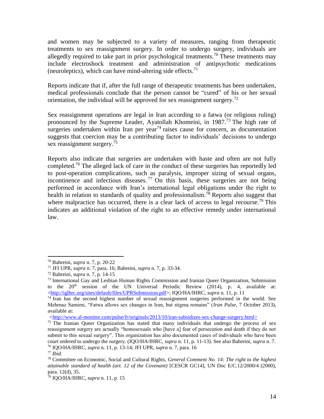and women may be subjected to a variety of measures, ranging from therapeutic treatments to sex reassignment surgery. In order to undergo surgery, individuals are allegedly required to take part in prior psychological treatments.<sup>70</sup> These treatments may include electroshock treatment and administration of antipsychotic medications (neuroleptics), which can have mind-altering side effects. $71$ 

Reports indicate that if, after the full range of therapeutic treatments has been undertaken, medical professionals conclude that the person cannot be "cured" of his or her sexual orientation, the individual will be approved for sex reassignment surgery.<sup>72</sup>

Sex reassignment operations are legal in Iran according to a fatwa (or religious ruling) pronounced by the Supreme Leader, Ayatollah Khomeini, in 1987.<sup>73</sup> The high rate of surgeries undertaken within Iran per year<sup>74</sup> raises cause for concern, as documentation suggests that coercion may be a contributing factor to individuals' decisions to undergo sex reassignment surgery.<sup>75</sup>

Reports also indicate that surgeries are undertaken with haste and often are not fully completed.<sup>76</sup> The alleged lack of care in the conduct of these surgeries has reportedly led to post-operation complications, such as paralysis, improper sizing of sexual organs, incontinence and infectious diseases. <sup>77</sup> On this basis, these surgeries are not being performed in accordance with Iran's international legal obligations under the right to health in relation to standards of quality and professionalism.<sup>78</sup> Reports also suggest that where malpractice has occurred, there is a clear lack of access to legal recourse.<sup>79</sup> This indicates an additional violation of the right to an effective remedy under international law.

*<*[http://www.al-monitor.com/pulse/fr/originals/2013/10/iran-subsidizes-sex-change-surgery.html>](http://www.al-monitor.com/pulse/fr/originals/2013/10/iran-subsidizes-sex-change-surgery.html)

l

<sup>70</sup> Bahreini, *supra* n. 7, p. 20-22

<sup>71</sup> JFI UPR, *supra* n. 7, para. 16; Bahreini, *supra* n. 7, p. 33-34.

<sup>72</sup> Bahreini, *supra* n. 7, p. 14-15

 $73$  International Gay and Lesbian Human Rights Commission and Iranian Queer Organization, Submission to the  $20<sup>th</sup>$  session of the UN Universal Periodic Review (2014), p. 4, available at: [<http://iglhrc.org/sites/default/files/UPRSubmission.pdf>](http://iglhrc.org/sites/default/files/UPRSubmission.pdf); IQO/HA/IHRC, *supra* n. 11, p. 11

<sup>&</sup>lt;sup>74</sup> Iran has the second highest number of sexual reassignment surgeries performed in the world. See Mehrnaz Samimi, "Fatwa allows sex changes in Iran, but stigma remains" (*Iran Pulse*, 7 October 2013), available at:

<sup>&</sup>lt;sup>75</sup> The Iranian Queer Organization has stated that many individuals that undergo the process of sex reassignment surgery are actually "homosexuals who [have a] fear of persecution and death if they do not submit to this sexual surgery". This organization has also documented cases of individuals who have been court ordered to undergo the surgery. (IQO/HA/IHRC, *supra* n. 11, p. 11-13). See also Bahreini, *supra* n. 7. <sup>76</sup> IQO/HA/IHRC, *supra* n. 11, p. 13-14; JFI UPR, *supra* n. 7, para. 16

<sup>77</sup> *Ibid*.

<sup>78</sup> Committee on Economic, Social and Cultural Rights, *General Comment No. 14: The right to the highest attainable standard of health (art. 12 of the Covenant)* [CESCR GC14], UN Doc E/C.12/2000/4 (2000), para. 12(d), 35.

<sup>79</sup> IQO/HA/IHRC, *supra* n. 11, p. 15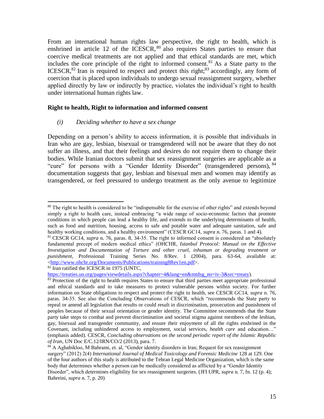From an international human rights law perspective, the right to health, which is enshrined in article 12 of the ICESCR,  $80$  also requires States parties to ensure that coercive medical treatments are not applied and that ethical standards are met, which includes the core principle of the right to informed consent.<sup>81</sup> As a State party to the ICESCR, ${}^{82}$  Iran is required to respect and protect this right; ${}^{83}$  accordingly, any form of coercion that is placed upon individuals to undergo sexual reassignment surgery, whether applied directly by law or indirectly by practice, violates the individual's right to health under international human rights law.

#### **Right to health, Right to information and informed consent**

#### *(i) Deciding whether to have a sex change*

Depending on a person's ability to access information, it is possible that individuals in Iran who are gay, lesbian, bisexual or transgendered will not be aware that they do not suffer an illness, and that their feelings and desires do not require them to change their bodies. While Iranian doctors submit that sex reassignment surgeries are applicable as a "cure" for persons with a "Gender Identity Disorder" (transgendered persons), <sup>84</sup> documentation suggests that gay, lesbian and bisexual men and women may identify as transgendered, or feel pressured to undergo treatment as the only avenue to legitimize

<sup>82</sup> Iran ratified the ICESCR in 1975 (UNTC,

l <sup>80</sup> The right to health is considered to be "indispensable for the exercise of other rights" and extends beyond simply a right to health care, instead embracing "a wide range of socio-economic factors that promote conditions in which people can lead a healthy life, and extends to the underlying determinants of health, such as food and nutrition, housing, access to safe and potable water and adequate sanitation, safe and healthy working conditions, and a healthy environment" (CESCR GC14, *supra* n. 76, paras. 1 and 4).

<sup>81</sup> CESCR GC14, *supra* n. 76, paras. 8, 34-35. The right to informed consent is considered an "absolutely fundamental precept of modern medical ethics" (OHCHR, *Istanbul Protocol: Manual on the Effective Investigation and Documentation of Torture and other cruel, inhuman or degrading treatment or punishment*, Professional Training Series No. 8/Rev. 1 (2004), para. 63-64, available at: [<http://www.ohchr.org/Documents/Publications/training8Rev1en.pdf>](http://www.ohchr.org/Documents/Publications/training8Rev1en.pdf).

[https://treaties.un.org/pages/viewdetails.aspx?chapter=4&lang=en&mtdsg\\_no=iv-3&src=treaty\)](https://treaties.un.org/pages/viewdetails.aspx?chapter=4&lang=en&mtdsg_no=iv-3&src=treaty).

<sup>83</sup> Protection of the right to health requires States to ensure that third parties meet appropriate professional and ethical standards and to take measures to protect vulnerable persons within society. For further information on State obligations to respect and protect the right to health, see CESCR GC14, *supra* n. 76, paras. 34-35. See also the Concluding Observations of CESCR, which "recommends the State party to repeal or amend all legislation that results or could result in discrimination, prosecution and punishment of peoples because of their sexual orientation or gender identity. The Committee recommends that the State party take steps to combat and prevent discrimination and societal stigma against members of the lesbian, gay, bisexual and transgender community, and ensure their enjoyment of all the rights enshrined in the Covenant, including unhindered access to employment, social services, *health care* and education…" (emphasis added). CESCR, *Concluding observations on the second periodic report of the Islamic Republic of Iran*, UN Doc E/C.12/IRN/CO/2 (2013), para. 7.

 $84$  A Aghabikloo, M Bahrami, et. al, "Gender identity disorders in Iran; Request for sex reassignment surgery" (2012) 2(4) *International Journal of Medical Toxicology and Forensic Medicine* 128 at 129. One of the four authors of this study is attributed to the Tehran Legal Medicine Organization, which is the same body that determines whether a person can be medically considered as afflicted by a "Gender Identity Disorder", which determines eligibility for sex reassignment surgeries. (JFI UPR, *supra* n. 7, fn. 12 (p. 4); Bahreini, *supra* n. 7, p. 20)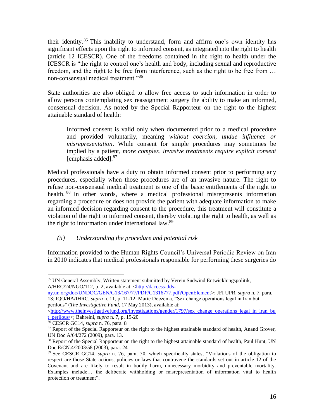their identity.<sup>85</sup> This inability to understand, form and affirm one's own identity has significant effects upon the right to informed consent, as integrated into the right to health (article 12 ICESCR). One of the freedoms contained in the right to health under the ICESCR is "the right to control one's health and body, including sexual and reproductive freedom, and the right to be free from interference, such as the right to be free from … non-consensual medical treatment."<sup>86</sup>

State authorities are also obliged to allow free access to such information in order to allow persons contemplating sex reassignment surgery the ability to make an informed, consensual decision. As noted by the Special Rapporteur on the right to the highest attainable standard of health:

Informed consent is valid only when documented prior to a medical procedure and provided voluntarily, meaning *without coercion, undue influence or misrepresentation*. While consent for simple procedures may sometimes be implied by a patient, *more complex, invasive treatments require explicit consent*  [emphasis added].<sup>87</sup>

Medical professionals have a duty to obtain informed consent prior to performing any procedures, especially when those procedures are of an invasive nature. The right to refuse non-consensual medical treatment is one of the basic entitlements of the right to health. <sup>88</sup> In other words, where a medical professional misrepresents information regarding a procedure or does not provide the patient with adequate information to make an informed decision regarding consent to the procedure, this treatment will constitute a violation of the right to informed consent, thereby violating the right to health, as well as the right to information under international law.<sup>89</sup>

## *(ii) Understanding the procedure and potential risk*

Information provided to the Human Rights Council's Universal Periodic Review on Iran in 2010 indicates that medical professionals responsible for performing these surgeries do

l

<sup>85</sup> UN General Assembly, Written statement submitted by Verein Sudwind Entwicklungspolitik, A/HRC/24/NGO/112, p. 2, available at: [<http://daccess-dds-](http://daccess-dds-ny.un.org/doc/UNDOC/GEN/G13/167/77/PDF/G1316777.pdf?OpenElement)

[ny.un.org/doc/UNDOC/GEN/G13/167/77/PDF/G1316777.pdf?OpenElement>](http://daccess-dds-ny.un.org/doc/UNDOC/GEN/G13/167/77/PDF/G1316777.pdf?OpenElement); JFI UPR, *supra* n. 7, para. 13; IQO/HA/IHRC, *supra* n. 11, p. 11-12; Marie Doezema, "Sex change operations legal in Iran but perilous" (*The Investigative Fund,* 17 May 2013), available at:

[<sup>&</sup>lt;http://www.theinvestigativefund.org/investigations/gender/1797/sex\\_change\\_operations\\_legal\\_in\\_iran\\_bu](http://www.theinvestigativefund.org/investigations/gender/1797/sex_change_operations_legal_in_iran_but_perilous/) [t\\_perilous/>](http://www.theinvestigativefund.org/investigations/gender/1797/sex_change_operations_legal_in_iran_but_perilous/); Bahreini, *supra* n. 7, p. 19-20

<sup>86</sup> CESCR GC14, *supra* n. 76, para. 8

<sup>&</sup>lt;sup>87</sup> Report of the Special Rapporteur on the right to the highest attainable standard of health, Anand Grover, UN Doc A/64/272 (2009), para. 13.

<sup>&</sup>lt;sup>88</sup> Report of the Special Rapporteur on the right to the highest attainable standard of health, Paul Hunt, UN Doc E/CN.4/2003/58 (2003), para. 24

<sup>89</sup> See CESCR GC14, *supra* n. 76, para. 50, which specifically states, "Violations of the obligation to respect are those State actions, policies or laws that contravene the standards set out in article 12 of the Covenant and are likely to result in bodily harm, unnecessary morbidity and preventable mortality. Examples include… the deliberate withholding or misrepresentation of information vital to health protection or treatment".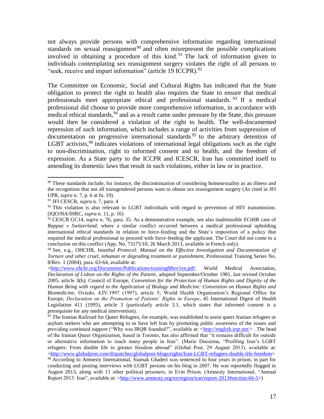not always provide persons with comprehensive information regarding international standards on sexual reassignment<sup>90</sup> and often misrepresent the possible complications involved in obtaining a procedure of this kind. <sup>91</sup> The lack of information given to individuals contemplating sex reassignment surgery violates the right of all persons to "seek, receive and impart information" (article 19 ICCPR).<sup>92</sup>

The Committee on Economic, Social and Cultural Rights has indicated that the State obligation to protect the right to health also requires the State to ensure that medical professionals meet appropriate ethical and professional standards. <sup>93</sup> If a medical professional did choose to provide more comprehensive information, in accordance with medical ethical standards,  $94$  and as a result came under pressure by the State, this pressure would then be considered a violation of the right to health. The well-documented repression of such information, which includes a range of activities from suppression of documentation on progressive international standards <sup>95</sup> to the arbitrary detention of LGBT activists,  $96$  indicates violations of international legal obligations such as the right to non-discrimination, right to informed consent and to health, and the freedom of expression. As a State party to the ICCPR and ICESCR, Iran has committed itself to amending its domestic laws that result in such violations, either in law or in practice.

 $\overline{\phantom{a}}$ 

<sup>&</sup>lt;sup>90</sup> These standards include, for instance, the discontinuation of considering homosexuality as an illness and the recognition that not all transgendered persons want to obtain sex reassignment surgery (As cited in JFI UPR, *supra* n. 7, p. 6 at fn. 19).

<sup>91</sup> JFI CESCR, *supra* n. 7, para. 4

 $92$  This violation is also relevant to LGBT individuals with regard to prevention of HIV transmission. (IQO/HA/IHRC, *supra* n. 11, p. 16)

<sup>93</sup> CESCR GC14, *supra* n. 76, para. 35. As a demonstrative example, see also inadmissible ECtHR case of *Rappaz v Switzerland*, where a similar conflict occurred between a medical professional upholding international ethical standards in relation to force-feeding and the State's imposition of a policy that required the medical professional to proceed with force-feeding the applicant. The Court did not come to a conclusion on this conflict (App. No. 73175/10, 26 March 2013, available in French only).

<sup>94</sup> See, e.g., OHCHR, *Istanbul Protocol: Manual on the Effective Investigation and Documentation of Torture and other cruel, inhuman or degrading treatment or punishment*, Professional Training Series No. 8/Rev. 1 (2004), para. 63-64, available at:

 $\lt$ http://www.ohchr.org/Documents/Publications/training8Rev1en.pdf; World Medical Association, *Declaration of Lisbon on the Rights of the Patient*, adopted September/October 1981, last revised October 2005, article 3(b); Council of Europe, *Convention for the Protection of Human Rights and Dignity of the Human Being with regard to the Application of Biology and Medicine: Convention on Human Rights and Biomedicine*, Oviedo, 4.IV.1997 (1997), article 5; World Health Organization's Regional Office for Europe, *Declaration on the Promotion of Patients' Rights in Europe*, 45 International Digest of Health Legislation 411 (1995), article 3 (particularly article 3.1, which states that informed consent is a prerequisite for any medical intervention).

<sup>&</sup>lt;sup>95</sup> The Iranian Railroad for Queer Refugees, for example, was established to assist queer Iranian refugees or asylum seekers who are attempting to or have left Iran by promoting public awareness of the issues and providing continued support ("Why was IRQR founded?", available at: [<http://english.irqr.net/>](http://english.irqr.net/). The head of the Iranian Queer Organization, based in Toronto, has also affirmed that "it remains difficult for outside or alternative information to reach many people in Iran". (Marie Doezema, "Profiling Iran's LGBT refugees: From double life to greater freedom abroad" (Global Post, 29 August 2013), available at:  $\langle$ http://www.globalpost.com/dispatches/globalpost-blogs/rights/Iran-LGBT-refugees-double-life-freedom>

<sup>&</sup>lt;sup>96</sup> According to Amnesty International, Siamak Ghaderi was sentenced to four years in prison, in part for conducting and posting interviews with LGBT persons on his blog in 2007. He was reportedly flogged in August 2013, along with 13 other political prisoners, in Evin Prison. (Amnesty International, "Annual Report 2013: Iran", available at: [<http://www.amnesty.org/en/region/iran/report-2013#section-66-5>](http://www.amnesty.org/en/region/iran/report-2013#section-66-5))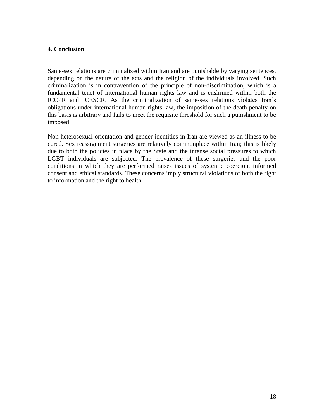#### **4. Conclusion**

Same-sex relations are criminalized within Iran and are punishable by varying sentences, depending on the nature of the acts and the religion of the individuals involved. Such criminalization is in contravention of the principle of non-discrimination, which is a fundamental tenet of international human rights law and is enshrined within both the ICCPR and ICESCR. As the criminalization of same-sex relations violates Iran's obligations under international human rights law, the imposition of the death penalty on this basis is arbitrary and fails to meet the requisite threshold for such a punishment to be imposed.

Non-heterosexual orientation and gender identities in Iran are viewed as an illness to be cured. Sex reassignment surgeries are relatively commonplace within Iran; this is likely due to both the policies in place by the State and the intense social pressures to which LGBT individuals are subjected. The prevalence of these surgeries and the poor conditions in which they are performed raises issues of systemic coercion, informed consent and ethical standards. These concerns imply structural violations of both the right to information and the right to health.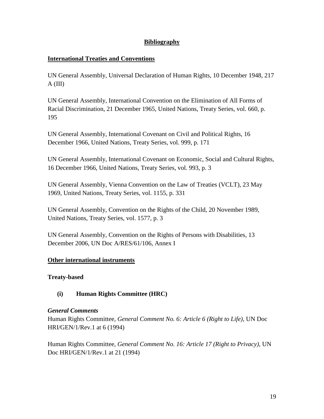## **Bibliography**

## **International Treaties and Conventions**

UN General Assembly, Universal Declaration of Human Rights, 10 December 1948, 217 A (III)

UN General Assembly, International Convention on the Elimination of All Forms of Racial Discrimination, 21 December 1965, United Nations, Treaty Series, vol. 660, p. 195

UN General Assembly, International Covenant on Civil and Political Rights, 16 December 1966, United Nations, Treaty Series, vol. 999, p. 171

UN General Assembly, International Covenant on Economic, Social and Cultural Rights, 16 December 1966, United Nations, Treaty Series, vol. 993, p. 3

UN General Assembly, Vienna Convention on the Law of Treaties (VCLT), 23 May 1969, United Nations, Treaty Series, vol. 1155, p. 331

UN General Assembly, Convention on the Rights of the Child, 20 November 1989, United Nations, Treaty Series, vol. 1577, p. 3

UN General Assembly, Convention on the Rights of Persons with Disabilities, 13 December 2006, UN Doc A/RES/61/106, Annex I

## **Other international instruments**

## **Treaty-based**

## **(i) Human Rights Committee (HRC)**

## *General Comments*

Human Rights Committee, *General Comment No. 6: Article 6 (Right to Life)*, UN Doc HRI/GEN/1/Rev.1 at 6 (1994)

Human Rights Committee, *General Comment No. 16: Article 17 (Right to Privacy)*, UN Doc HRI/GEN/1/Rev.1 at 21 (1994)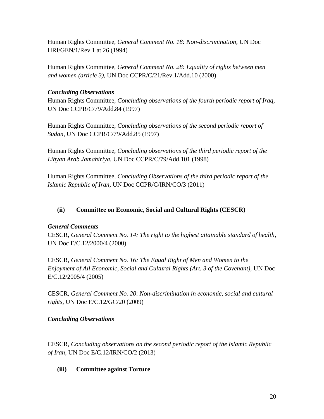Human Rights Committee, *General Comment No. 18: Non-discrimination,* UN Doc HRI/GEN/1/Rev.1 at 26 (1994)

Human Rights Committee, *General Comment No. 28: Equality of rights between men and women (article 3),* UN Doc CCPR/C/21/Rev.1/Add.10 (2000)

## *Concluding Observations*

Human Rights Committee, *Concluding observations of the fourth periodic report of Iraq,*  UN Doc CCPR/C/79/Add.84 (1997)

Human Rights Committee, *Concluding observations of the second periodic report of Sudan*, UN Doc CCPR/C/79/Add.85 (1997)

Human Rights Committee, *Concluding observations of the third periodic report of the Libyan Arab Jamahiriya*, UN Doc CCPR/C/79/Add.101 (1998)

Human Rights Committee, *Concluding Observations of the third periodic report of the Islamic Republic of Iran*, UN Doc CCPR/C/IRN/CO/3 (2011)

# **(ii) Committee on Economic, Social and Cultural Rights (CESCR)**

## *General Comments*

CESCR, *General Comment No. 14: The right to the highest attainable standard of health*, UN Doc E/C.12/2000/4 (2000)

CESCR, *General Comment No. 16: The Equal Right of Men and Women to the Enjoyment of All Economic, Social and Cultural Rights (Art. 3 of the Covenant),* UN Doc E/C.12/2005/4 (2005)

CESCR, *General Comment No. 20*: *Non-discrimination in economic, social and cultural rights,* UN Doc E/C.12/GC/20 (2009)

## *Concluding Observations*

CESCR, *Concluding observations on the second periodic report of the Islamic Republic of Iran,* UN Doc E/C.12/IRN/CO/2 (2013)

## **(iii) Committee against Torture**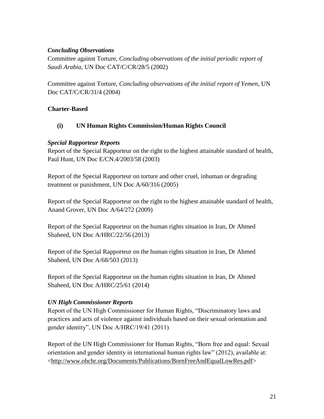## *Concluding Observations*

Committee against Torture, *Concluding observations of the initial periodic report of Saudi Arabia*, UN Doc CAT/C/CR/28/5 (2002)

Committee against Torture, *Concluding observations of the initial report of Yemen*, UN Doc CAT/C/CR/31/4 (2004)

## **Charter-Based**

## **(i) UN Human Rights Commission/Human Rights Council**

## *Special Rapporteur Reports*

Report of the Special Rapporteur on the right to the highest attainable standard of health, Paul Hunt, UN Doc E/CN.4/2003/58 (2003)

Report of the Special Rapporteur on torture and other cruel, inhuman or degrading treatment or punishment, UN Doc A/60/316 (2005)

Report of the Special Rapporteur on the right to the highest attainable standard of health, Anand Grover, UN Doc A/64/272 (2009)

Report of the Special Rapporteur on the human rights situation in Iran, Dr Ahmed Shaheed, UN Doc A/HRC/22/56 (2013)

Report of the Special Rapporteur on the human rights situation in Iran, Dr Ahmed Shaheed, UN Doc A/68/503 (2013)

Report of the Special Rapporteur on the human rights situation in Iran, Dr Ahmed Shaheed, UN Doc A/HRC/25/61 (2014)

## *UN High Commissioner Reports*

Report of the UN High Commissioner for Human Rights, "Discriminatory laws and practices and acts of violence against individuals based on their sexual orientation and gender identity", UN Doc A/HRC/19/41 (2011)

Report of the UN High Commissioner for Human Rights, "Born free and equal: Sexual orientation and gender identity in international human rights law" (2012), available at: [<http://www.ohchr.org/Documents/Publications/BornFreeAndEqualLowRes.pdf>](http://www.ohchr.org/Documents/Publications/BornFreeAndEqualLowRes.pdf)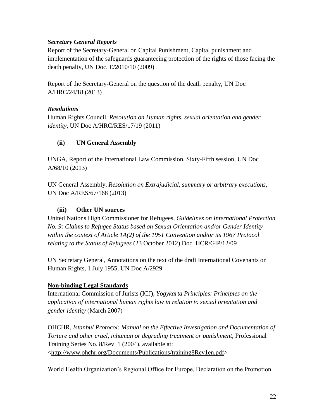## *Secretary General Reports*

Report of the Secretary-General on Capital Punishment, Capital punishment and implementation of the safeguards guaranteeing protection of the rights of those facing the death penalty, UN Doc. E/2010/10 (2009)

Report of the Secretary-General on the question of the death penalty, UN Doc A/HRC/24/18 (2013)

## *Resolutions*

Human Rights Council, *Resolution on Human rights, sexual orientation and gender identity*, UN Doc A/HRC/RES/17/19 (2011)

## **(ii) UN General Assembly**

UNGA, Report of the International Law Commission, Sixty-Fifth session, UN Doc A/68/10 (2013)

UN General Assembly, *Resolution on Extrajudicial, summary or arbitrary executions*, UN Doc A/RES/67/168 (2013)

## **(iii) Other UN sources**

United Nations High Commissioner for Refugees, *Guidelines on International Protection No. 9: Claims to Refugee Status based on Sexual Orientation and/or Gender Identity within the context of Article 1A(2) of the 1951 Convention and/or its 1967 Protocol relating to the Status of Refugees* (23 October 2012) Doc. HCR/GIP/12/09

UN Secretary General, Annotations on the text of the draft International Covenants on Human Rights, 1 July 1955, UN Doc A/2929

## **Non-binding Legal Standards**

International Commission of Jurists (ICJ), *Yogykarta Principles: Principles on the application of international human rights law in relation to sexual orientation and gender identity* (March 2007)

OHCHR, *Istanbul Protocol: Manual on the Effective Investigation and Documentation of Torture and other cruel, inhuman or degrading treatment or punishment*, Professional Training Series No. 8/Rev. 1 (2004), available at: [<http://www.ohchr.org/Documents/Publications/training8Rev1en.pdf>](http://www.ohchr.org/Documents/Publications/training8Rev1en.pdf)

World Health Organization's Regional Office for Europe, Declaration on the Promotion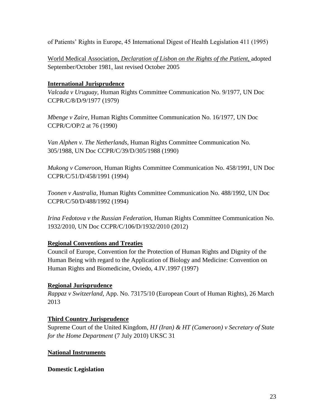of Patients' Rights in Europe, 45 International Digest of Health Legislation 411 (1995)

World Medical Association, *Declaration of Lisbon on the Rights of the Patient*, adopted September/October 1981, last revised October 2005

## **International Jurisprudence**

*Valcada v Uruguay,* Human Rights Committee Communication No. 9/1977, UN Doc CCPR/C/8/D/9/1977 (1979)

*Mbenge v Zaire,* Human Rights Committee Communication No. 16/1977, UN Doc CCPR/C/OP/2 at 76 (1990)

*Van Alphen v. The Netherlands*, Human Rights Committee Communication No. 305/1988, UN Doc CCPR/C/39/D/305/1988 (1990)

*Mukong v Cameroon*, Human Rights Committee Communication No. 458/1991, UN Doc CCPR/C/51/D/458/1991 (1994)

*Toonen v Australia*, Human Rights Committee Communication No. 488/1992, UN Doc CCPR/C/50/D/488/1992 (1994)

*Irina Fedotova v the Russian Federation,* Human Rights Committee Communication No. 1932/2010, UN Doc CCPR/C/106/D/1932/2010 (2012)

## **Regional Conventions and Treaties**

Council of Europe, Convention for the Protection of Human Rights and Dignity of the Human Being with regard to the Application of Biology and Medicine: Convention on Human Rights and Biomedicine, Oviedo, 4.IV.1997 (1997)

## **Regional Jurisprudence**

*Rappaz v Switzerland,* App. No. 73175/10 (European Court of Human Rights), 26 March 2013

## **Third Country Jurisprudence**

Supreme Court of the United Kingdom, *HJ (Iran) & HT (Cameroon) v Secretary of State for the Home Department* (7 July 2010) UKSC 31

## **National Instruments**

**Domestic Legislation**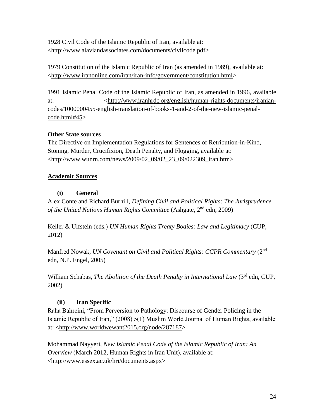1928 Civil Code of the Islamic Republic of Iran, available at: [<http://www.alaviandassociates.com/documents/civilcode.pdf>](http://www.alaviandassociates.com/documents/civilcode.pdf)

1979 Constitution of the Islamic Republic of Iran (as amended in 1989), available at: [<http://www.iranonline.com/iran/iran-info/government/constitution.html>](http://www.iranonline.com/iran/iran-info/government/constitution.html)

1991 Islamic Penal Code of the Islamic Republic of Iran, as amended in 1996, available at:  $\langle \text{http://www.iranhrdc.org/english/human-right-sdocuments/iranian$ [codes/1000000455-english-translation-of-books-1-and-2-of-the-new-islamic-penal](http://www.iranhrdc.org/english/human-rights-documents/iranian-codes/1000000455-english-translation-of-books-1-and-2-of-the-new-islamic-penal-code.html#45)[code.html#45>](http://www.iranhrdc.org/english/human-rights-documents/iranian-codes/1000000455-english-translation-of-books-1-and-2-of-the-new-islamic-penal-code.html#45)

# **Other State sources**

The Directive on Implementation Regulations for Sentences of Retribution-in-Kind, Stoning, Murder, Crucifixion, Death Penalty, and Flogging, available at: [<http://www.wunrn.com/news/2009/02\\_09/02\\_23\\_09/022309\\_iran.htm>](http://www.wunrn.com/news/2009/02_09/02_23_09/022309_iran.htm)

# **Academic Sources**

# **(i) General**

Alex Conte and Richard Burhill, *Defining Civil and Political Rights: The Jurisprudence of the United Nations Human Rights Committee* (Ashgate, 2<sup>nd</sup> edn, 2009)

Keller & Ulfstein (eds.) *UN Human Rights Treaty Bodies: Law and Legitimacy* (CUP, 2012)

Manfred Nowak, *UN Covenant on Civil and Political Rights: CCPR Commentary* (2<sup>nd</sup> edn, N.P. Engel, 2005)

William Schabas, *The Abolition of the Death Penalty in International Law* (3<sup>rd</sup> edn, CUP, 2002)

# **(ii) Iran Specific**

Raha Bahreini, "From Perversion to Pathology: Discourse of Gender Policing in the Islamic Republic of Iran," (2008) 5(1) Muslim World Journal of Human Rights, available at: [<http://www.worldwewant2015.org/node/287187>](http://www.worldwewant2015.org/node/287187)

Mohammad Nayyeri, *New Islamic Penal Code of the Islamic Republic of Iran: An Overview* (March 2012, Human Rights in Iran Unit), available at: [<http://www.essex.ac.uk/hri/documents.aspx>](http://www.essex.ac.uk/hri/documents.aspx)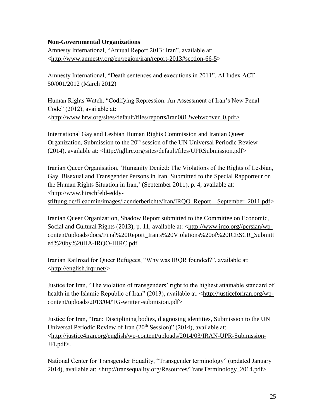## **Non-Governmental Organizations**

Amnesty International, "Annual Report 2013: Iran", available at: [<http://www.amnesty.org/en/region/iran/report-2013#section-66-5>](http://www.amnesty.org/en/region/iran/report-2013#section-66-5)

Amnesty International, "Death sentences and executions in 2011", AI Index ACT 50/001/2012 (March 2012)

Human Rights Watch, "Codifying Repression: An Assessment of Iran's New Penal Code" (2012), available at: [<http://www.hrw.org/sites/default/files/reports/iran0812webwcover\\_0.pdf>](http://www.hrw.org/sites/default/files/reports/iran0812webwcover_0.pdf)

International Gay and Lesbian Human Rights Commission and Iranian Queer Organization, Submission to the  $20<sup>th</sup>$  session of the UN Universal Periodic Review (2014), available at: [<http://iglhrc.org/sites/default/files/UPRSubmission.pdf>](http://iglhrc.org/sites/default/files/UPRSubmission.pdf)

Iranian Queer Organisation, 'Humanity Denied: The Violations of the Rights of Lesbian, Gay, Bisexual and Transgender Persons in Iran. Submitted to the Special Rapporteur on the Human Rights Situation in Iran,' (September 2011), p. 4, available at: [<http://www.hirschfeld-eddy](http://www.hirschfeld-eddy-stiftung.de/fileadmin/images/laenderberichte/Iran/IRQO_Report__September_2011.pdf)[stiftung.de/fileadmin/images/laenderberichte/Iran/IRQO\\_Report\\_\\_September\\_2011.pdf>](http://www.hirschfeld-eddy-stiftung.de/fileadmin/images/laenderberichte/Iran/IRQO_Report__September_2011.pdf)

Iranian Queer Organization, Shadow Report submitted to the Committee on Economic, Social and Cultural Rights (2013), p. 11, available at: [<http://www.irqo.org//persian/wp](http://www.irqo.org/persian/wp-content/uploads/docs/Final%20Report_Iran)[content/uploads/docs/Final%20Report\\_Iran's%20Violations%20of%20ICESCR\\_Submitt](http://www.irqo.org/persian/wp-content/uploads/docs/Final%20Report_Iran) [ed%20by%20HA-IRQO-IHRC.pdf](http://www.irqo.org/persian/wp-content/uploads/docs/Final%20Report_Iran)

Iranian Railroad for Queer Refugees, "Why was IRQR founded?", available at: [<http://english.irqr.net/>](http://english.irqr.net/)

Justice for Iran, "The violation of transgenders' right to the highest attainable standard of health in the Islamic Republic of Iran" (2013), available at: [<http://justiceforiran.org/wp](http://justiceforiran.org/wp-content/uploads/2013/04/TG-written-submision.pdf)[content/uploads/2013/04/TG-written-submision.pdf>](http://justiceforiran.org/wp-content/uploads/2013/04/TG-written-submision.pdf)

Justice for Iran, "Iran: Disciplining bodies, diagnosing identities, Submission to the UN Universal Periodic Review of Iran  $(20<sup>th</sup> Session)$ " (2014), available at: [<http://justice4iran.org/english/wp-content/uploads/2014/03/IRAN-UPR-Submission-](http://justice4iran.org/english/wp-content/uploads/2014/03/IRAN-UPR-Submission-JFI.pdf)[JFI.pdf>](http://justice4iran.org/english/wp-content/uploads/2014/03/IRAN-UPR-Submission-JFI.pdf).

National Center for Transgender Equality, "Transgender terminology" (updated January 2014), available at: [<http://transequality.org/Resources/TransTerminology\\_2014.pdf>](http://transequality.org/Resources/TransTerminology_2014.pdf)